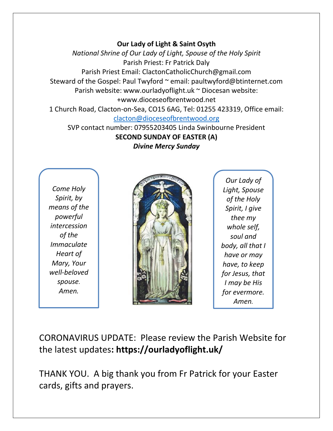## **Our Lady of Light & Saint Osyth**

*National Shrine of Our Lady of Light, Spouse of the Holy Spirit* Parish Priest: Fr Patrick Daly Parish Priest Email: ClactonCatholicChurch@gmail.com Steward of the Gospel: Paul Twyford ~ email: paultwyford@btinternet.com Parish website: www.ourladyoflight.uk ~ Diocesan website: +www.dioceseofbrentwood.net 1 Church Road, Clacton-on-Sea, CO15 6AG, Tel: 01255 423319, Office email:

[clacton@dioceseofbrentwood.org](mailto:clacton@dioceseofbrentwood.org)

SVP contact number: 07955203405 Linda Swinbourne President **SECOND SUNDAY OF EASTER (A)** *Divine Mercy Sunday*

*Come Holy Spirit, by means of the powerful intercession of the Immaculate Heart of Mary, Your well-beloved spouse. Amen.*



*Our Lady of Light, Spouse of the Holy Spirit, I give thee my whole self, soul and body, all that I have or may have, to keep for Jesus, that I may be His for evermore. Amen.*

CORONAVIRUS UPDATE: Please review the Parish Website for the latest updates**: https://ourladyoflight.uk/**

THANK YOU. A big thank you from Fr Patrick for your Easter cards, gifts and prayers.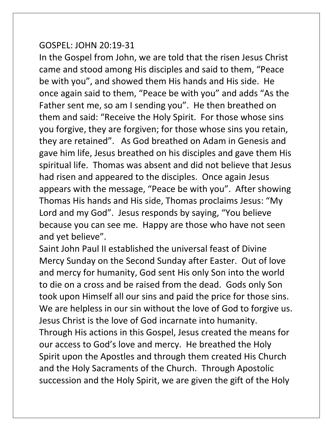## GOSPEL: JOHN 20:19-31

In the Gospel from John, we are told that the risen Jesus Christ came and stood among His disciples and said to them, "Peace be with you", and showed them His hands and His side. He once again said to them, "Peace be with you" and adds "As the Father sent me, so am I sending you". He then breathed on them and said: "Receive the Holy Spirit. For those whose sins you forgive, they are forgiven; for those whose sins you retain, they are retained". As God breathed on Adam in Genesis and gave him life, Jesus breathed on his disciples and gave them His spiritual life. Thomas was absent and did not believe that Jesus had risen and appeared to the disciples. Once again Jesus appears with the message, "Peace be with you". After showing Thomas His hands and His side, Thomas proclaims Jesus: "My Lord and my God". Jesus responds by saying, "You believe because you can see me. Happy are those who have not seen and yet believe".

Saint John Paul II established the universal feast of Divine Mercy Sunday on the Second Sunday after Easter. Out of love and mercy for humanity, God sent His only Son into the world to die on a cross and be raised from the dead. Gods only Son took upon Himself all our sins and paid the price for those sins. We are helpless in our sin without the love of God to forgive us. Jesus Christ is the love of God incarnate into humanity. Through His actions in this Gospel, Jesus created the means for our access to God's love and mercy. He breathed the Holy Spirit upon the Apostles and through them created His Church and the Holy Sacraments of the Church. Through Apostolic succession and the Holy Spirit, we are given the gift of the Holy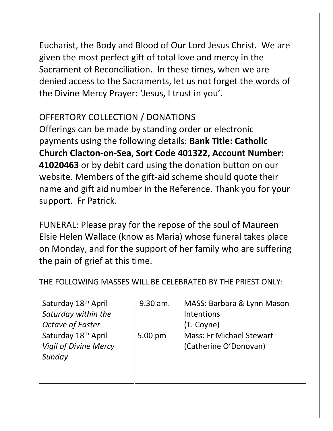Eucharist, the Body and Blood of Our Lord Jesus Christ. We are given the most perfect gift of total love and mercy in the Sacrament of Reconciliation. In these times, when we are denied access to the Sacraments, let us not forget the words of the Divine Mercy Prayer: 'Jesus, I trust in you'.

## OFFERTORY COLLECTION / DONATIONS

Offerings can be made by standing order or electronic payments using the following details: **Bank Title: Catholic Church Clacton-on-Sea, Sort Code 401322, Account Number: 41020463** or by debit card using the donation button on our website. Members of the gift-aid scheme should quote their name and gift aid number in the Reference. Thank you for your support. Fr Patrick.

FUNERAL: Please pray for the repose of the soul of Maureen Elsie Helen Wallace (know as Maria) whose funeral takes place on Monday, and for the support of her family who are suffering the pain of grief at this time.

| Saturday 18 <sup>th</sup> April | 9.30 am. | MASS: Barbara & Lynn Mason      |
|---------------------------------|----------|---------------------------------|
| Saturday within the             |          | Intentions                      |
| <b>Octave of Easter</b>         |          | (T. Coyne)                      |
| Saturday 18 <sup>th</sup> April | 5.00 pm  | <b>Mass: Fr Michael Stewart</b> |
| <b>Vigil of Divine Mercy</b>    |          | (Catherine O'Donovan)           |
| Sunday                          |          |                                 |
|                                 |          |                                 |
|                                 |          |                                 |

THE FOLLOWING MASSES WILL BE CELEBRATED BY THE PRIEST ONLY: